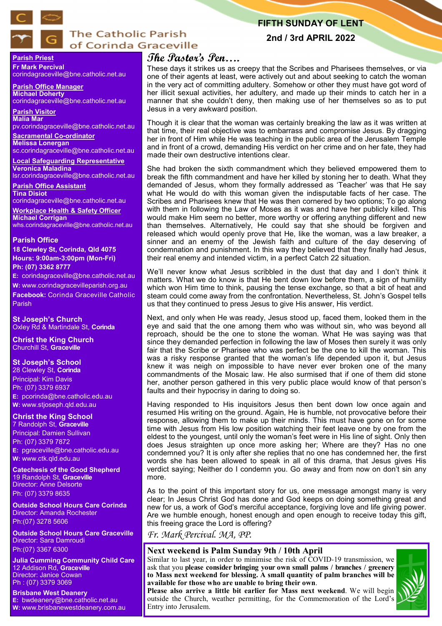

# **The Catholic Parish** of Corinda Graceville

# **FIFTH SUNDAY OF LENT**

**2nd / 3rd APRIL 2022**

# **Parish Priest Fr Mark Percival**

corindagraceville@bne.catholic.net.au

**Parish Office Manager Michael Doherty** corindagraceville@bne.catholic.net.au

**Parish Visitor Malia Mar**  pv.corindagraceville@bne.catholic.net.au

**Sacramental Co-ordinator Melissa Lonergan**  sc.corindagraceville@bne.catholic.net.au

**Local Safeguarding Representative Veronica Maladina** lsr.corindagraceville@bne.catholic.net.au

**Parish Office Assistant Tina Disiot** 

corindagraceville@bne.catholic.net.au

**Workplace Health & Safety Officer Michael Corrigan** whs.corindagraceville@bne.catholic.net.au

### **Parish Office**

**18 Clewley St, Corinda, Qld 4075 Hours: 9:00am-3:00pm (Mon-Fri) Ph: (07) 3362 8777**

**E:** corindagraceville@bne.catholic.net.au

**W:** www.corindagracevilleparish.org.au **Facebook:** Corinda Graceville Catholic Parish

**St Joseph's Church** Oxley Rd & Martindale St, **Corinda**

**Christ the King Church** Churchill St, **Graceville**

# **St Joseph's School**

28 Clewley St, **Corinda** Principal: Kim Davis Ph: (07) 3379 6937 **E:** pcorinda@bne.catholic.edu.au **W:** www.stjoseph.qld.edu.au

# **Christ the King School**

7 Randolph St, **Graceville** Principal: Damien Sullivan Ph: (07) 3379 7872 **E:** pgraceville@bne.catholic.edu.au **W:** www.ctk.qld.edu.au

**Catechesis of the Good Shepherd**  19 Randolph St, **Graceville**  Director: Anne Delsorte Ph: (07) 3379 8635

**Outside School Hours Care Corinda**  Director: Amanda Rochester Ph:(07) 3278 5606

**Outside School Hours Care Graceville**  Director: Sara Damroudi Ph:(07) 3367 6300

**Julia Cumming Community Child Care**  12 Addison Rd, **Graceville**  Director: Janice Cowan Ph : (07) 3379 3069

**Brisbane West Deanery E:** bwdeanery@bne.catholic.net.au **W:** www.brisbanewestdeanery.com.au

# **The Pastor's Pen….**

These days it strikes us as creepy that the Scribes and Pharisees themselves, or via one of their agents at least, were actively out and about seeking to catch the woman in the very act of committing adultery. Somehow or other they must have got word of her illicit sexual activities, her adultery, and made up their minds to catch her in a manner that she couldn't deny, then making use of her themselves so as to put Jesus in a very awkward position.

Though it is clear that the woman was certainly breaking the law as it was written at that time, their real objective was to embarrass and compromise Jesus. By dragging her in front of Him while He was teaching in the public area of the Jerusalem Temple and in front of a crowd, demanding His verdict on her crime and on her fate, they had made their own destructive intentions clear.

She had broken the sixth commandment which they believed empowered them to break the fifth commandment and have her killed by stoning her to death. What they demanded of Jesus, whom they formally addressed as 'Teacher' was that He say what He would do with this woman given the indisputable facts of her case. The Scribes and Pharisees knew that He was then cornered by two options; To go along with them in following the Law of Moses as it was and have her publicly killed. This would make Him seem no better, more worthy or offering anything different and new than themselves. Alternatively, He could say that she should be forgiven and released which would openly prove that He, like the woman, was a law breaker, a sinner and an enemy of the Jewish faith and culture of the day deserving of condemnation and punishment. In this way they believed that they finally had Jesus, their real enemy and intended victim, in a perfect Catch 22 situation.

We'll never know what Jesus scribbled in the dust that day and I don't think it matters. What we do know is that He bent down low before them, a sign of humility which won Him time to think, pausing the tense exchange, so that a bit of heat and steam could come away from the confrontation. Nevertheless, St. John's Gospel tells us that they continued to press Jesus to give His answer, His verdict.

Next, and only when He was ready, Jesus stood up, faced them, looked them in the eye and said that the one among them who was without sin, who was beyond all reproach, should be the one to stone the woman. What He was saying was that since they demanded perfection in following the law of Moses then surely it was only fair that the Scribe or Pharisee who was perfect be the one to kill the woman. This was a risky response granted that the woman's life depended upon it, but Jesus knew it was neigh on impossible to have never ever broken one of the many commandments of the Mosaic law. He also surmised that if one of them did stone her, another person gathered in this very public place would know of that person's faults and their hypocrisy in daring to doing so.

Having responded to His inquisitors Jesus then bent down low once again and resumed His writing on the ground. Again, He is humble, not provocative before their response, allowing them to make up their minds. This must have gone on for some time with Jesus from His low position watching their feet leave one by one from the eldest to the youngest, until only the woman's feet were in His line of sight. Only then does Jesus straighten up once more asking her; Where are they? Has no one condemned you? It is only after she replies that no one has condemned her, the first words she has been allowed to speak in all of this drama, that Jesus gives His verdict saying; Neither do I condemn you. Go away and from now on don't sin any more.

As to the point of this important story for us, one message amongst many is very clear; In Jesus Christ God has done and God keeps on doing something great and new for us, a work of God's merciful acceptance, forgiving love and life giving power. Are we humble enough, honest enough and open enough to receive today this gift, this freeing grace the Lord is offering?

*Fr. Mark Percival. MA, PP.* 

# **Next weekend is Palm Sunday 9th / 10th April**

Similar to last year, in order to minimise the risk of COVID-19 transmission, we ask that you **please consider bringing your own small palms / branches / greenery to Mass next weekend for blessing. A small quantity of palm branches will be available for those who are unable to bring their own**.

**Please also arrive a little bit earlier for Mass next weekend**. We will begin outside the Church, weather permitting, for the Commemoration of the Lord's Entry into Jerusalem.

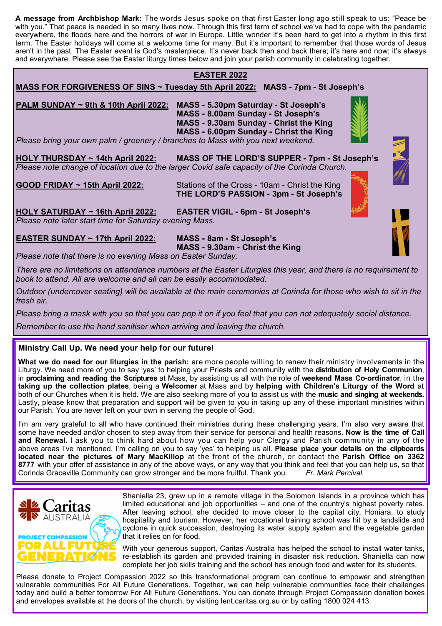**A message from Archbishop Mark:** The words Jesus spoke on that first Easter long ago still speak to us: "Peace be with you." That peace is needed in so many lives now. Through this first term of school we've had to cope with the pandemic everywhere, the floods here and the horrors of war in Europe. Little wonder it's been hard to get into a rhythm in this first term. The Easter holidays will come at a welcome time for many. But it's important to remember that those words of Jesus aren't in the past. The Easter event is God's masterpiece. It's never back then and back there; it's here and now; it's always and everywhere. Please see the Easter liturgy times below and join your parish community in celebrating together.

# **EASTER 2022**

**MASS FOR FORGIVENESS OF SINS ~ Tuesday 5th April 2022: MASS - 7pm - St Joseph's** 

**PALM SUNDAY ~ 9th & 10th April 2022: MASS - 5.30pm Saturday - St Joseph's MASS - 8.00am Sunday - St Joseph's MASS - 9.30am Sunday - Christ the King MASS - 6.00pm Sunday - Christ the King** 

*Please bring your own palm / greenery / branches to Mass with you next weekend.*

**HOLY THURSDAY ~ 14th April 2022: MASS OF THE LORD'S SUPPER - 7pm - St Joseph's** *Please note change of location due to the larger Covid safe capacity of the Corinda Church.*

**GOOD FRIDAY ~ 15th April 2022:** Stations of the Cross - 10am - Christ the King  **THE LORD'S PASSION - 3pm - St Joseph's**

**HOLY SATURDAY ~ 16th April 2022: EASTER VIGIL - 6pm - St Joseph's**  *Please note later start time for Saturday evening Mass.*

# **EASTER SUNDAY ~ 17th April 2022: MASS - 8am - St Joseph's**

 **MASS - 9.30am - Christ the King** 

*Please note that there is no evening Mass on Easter Sunday.* 

*There are no limitations on attendance numbers at the Easter Liturgies this year, and there is no requirement to book to attend. All are welcome and all can be easily accommodated.* 

*Outdoor (undercover seating) will be available at the main ceremonies at Corinda for those who wish to sit in the fresh air.* 

*Please bring a mask with you so that you can pop it on if you feel that you can not adequately social distance.*

*Remember to use the hand sanitiser when arriving and leaving the church.* 

# **Ministry Call Up. We need your help for our future!**

**What we do need for our liturgies in the parish:** are more people willing to renew their ministry involvements in the Liturgy. We need more of you to say 'yes' to helping your Priests and community with the **distribution of Holy Communion**, in **proclaiming and reading the Scriptures** at Mass, by assisting us all with the role of **weekend Mass Co-ordinator**, in the **taking up the collection plates**, being a **Welcomer** at Mass and by **helping with Children's Liturgy of the Word** at both of our Churches when it is held. We are also seeking more of you to assist us with the **music and singing at weekends.**  Lastly, please know that preparation and support will be given to you in taking up any of these important ministries within our Parish. You are never left on your own in serving the people of God.

I'm am very grateful to all who have continued their ministries during these challenging years. I'm also very aware that some have needed and/or chosen to step away from their service for personal and health reasons. **Now is the time of Call and Renewal.** I ask you to think hard about how you can help your Clergy and Parish community in any of the above areas I've mentioned. I'm calling on you to say 'yes' to helping us all. **Please place your details on the clipboards located near the pictures of Mary MacKillop** at the front of the church, or contact the **Parish Office on 3362 8777** with your offer of assistance in any of the above ways, or any way that you think and feel that you can help us, so that Corinda Graceville Community can grow stronger and be more fruitful. Thank you. Fr. Mark Perci Corinda Graceville Community can grow stronger and be more fruitful. Thank you.



Shaniella 23, grew up in a remote village in the Solomon Islands in a province which has limited educational and job opportunities – and one of the country's highest poverty rates. After leaving school, she decided to move closer to the capital city, Honiara, to study hospitality and tourism. However, her vocational training school was hit by a landslide and cyclone in quick succession, destroying its water supply system and the vegetable garden that it relies on for food.

With your generous support, Caritas Australia has helped the school to install water tanks, re-establish its garden and provided training in disaster risk reduction. Shaniella can now complete her job skills training and the school has enough food and water for its students.

Please donate to Project Compassion 2022 so this transformational program can continue to empower and strengthen vulnerable communities For All Future Generations. Together, we can help vulnerable communities face their challenges today and build a better tomorrow For All Future Generations. You can donate through Project Compassion donation boxes and envelopes available at the doors of the church, by visiting lent.caritas.org.au or by calling 1800 024 413.



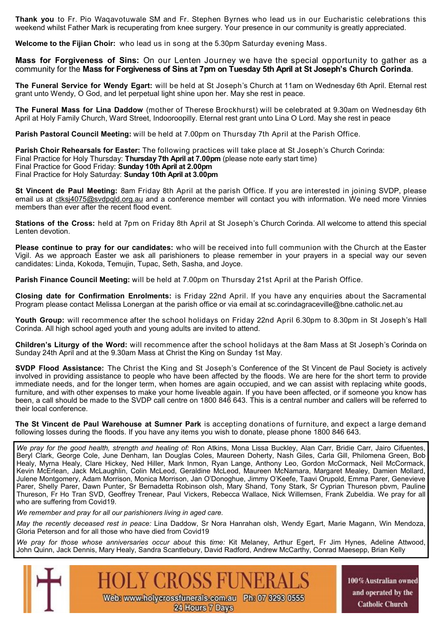**Thank you** to Fr. Pio Waqavotuwale SM and Fr. Stephen Byrnes who lead us in our Eucharistic celebrations this weekend whilst Father Mark is recuperating from knee surgery. Your presence in our community is greatly appreciated.

**Welcome to the Fijian Choir:** who lead us in song at the 5.30pm Saturday evening Mass.

**Mass for Forgiveness of Sins:** On our Lenten Journey we have the special opportunity to gather as a community for the **Mass for Forgiveness of Sins at 7pm on Tuesday 5th April at St Joseph's Church Corinda**.

**The Funeral Service for Wendy Egart:** will be held at St Joseph's Church at 11am on Wednesday 6th April. Eternal rest grant unto Wendy, O God, and let perpetual light shine upon her. May she rest in peace.

**The Funeral Mass for Lina Daddow** (mother of Therese Brockhurst) will be celebrated at 9.30am on Wednesday 6th April at Holy Family Church, Ward Street, Indooroopilly. Eternal rest grant unto Lina O Lord. May she rest in peace

**Parish Pastoral Council Meeting:** will be held at 7.00pm on Thursday 7th April at the Parish Office.

**Parish Choir Rehearsals for Easter:** The following practices will take place at St Joseph's Church Corinda: Final Practice for Holy Thursday: **Thursday 7th April at 7.00pm** (please note early start time) Final Practice for Good Friday: **Sunday 10th April at 2.00pm** Final Practice for Holy Saturday: **Sunday 10th April at 3.00pm**

**St Vincent de Paul Meeting:** 8am Friday 8th April at the parish Office. If you are interested in joining SVDP, please email us at ctksj4075@svdpqld.org.au and a conference member will contact you with information. We need more Vinnies members than ever after the recent flood event.

**Stations of the Cross:** held at 7pm on Friday 8th April at St Joseph's Church Corinda. All welcome to attend this special Lenten devotion.

**Please continue to pray for our candidates:** who will be received into full communion with the Church at the Easter Vigil. As we approach Easter we ask all parishioners to please remember in your prayers in a special way our seven candidates: Linda, Kokoda, Temujin, Tupac, Seth, Sasha, and Joyce.

**Parish Finance Council Meeting:** will be held at 7.00pm on Thursday 21st April at the Parish Office.

**Closing date for Confirmation Enrolments:** is Friday 22nd April. If you have any enquiries about the Sacramental Program please contact Melissa Lonergan at the parish office or via email at sc.corindagraceville@bne.catholic.net.au

**Youth Group:** will recommence after the school holidays on Friday 22nd April 6.30pm to 8.30pm in St Joseph's Hall Corinda. All high school aged youth and young adults are invited to attend.

**Children's Liturgy of the Word:** will recommence after the school holidays at the 8am Mass at St Joseph's Corinda on Sunday 24th April and at the 9.30am Mass at Christ the King on Sunday 1st May.

**SVDP Flood Assistance:** The Christ the King and St Joseph's Conference of the St Vincent de Paul Society is actively involved in providing assistance to people who have been affected by the floods. We are here for the short term to provide immediate needs, and for the longer term, when homes are again occupied, and we can assist with replacing white goods, furniture, and with other expenses to make your home liveable again. If you have been affected, or if someone you know has been, a call should be made to the SVDP call centre on 1800 846 643. This is a central number and callers will be referred to their local conference.

**The St Vincent de Paul Warehouse at Sumner Park** is accepting donations of furniture, and expect a large demand following losses during the floods. If you have any items you wish to donate, please phone 1800 846 643.

*We pray for the good health, strength and healing of:* Ron Atkins, Mona Lissa Buckley, Alan Carr, Bridie Carr, Jairo Cifuentes, Beryl Clark, George Cole, June Denham, Ian Douglas Coles, Maureen Doherty, Nash Giles, Carla Gill, Philomena Green, Bob Healy, Myrna Healy, Clare Hickey, Ned Hiller, Mark Inmon, Ryan Lange, Anthony Leo, Gordon McCormack, Neil McCormack, Kevin McErlean, Jack McLaughlin, Colin McLeod, Geraldine McLeod, Maureen McNamara, Margaret Mealey, Damien Mollard, Julene Montgomery, Adam Morrison, Monica Morrison, Jan O'Donoghue, Jimmy O'Keefe, Taavi Orupold, Emma Parer, Genevieve Parer, Shelly Parer, Dawn Punter, Sr Bernadetta Robinson olsh, Mary Shand, Tony Stark, Sr Cyprian Thureson pbvm, Pauline Thureson, Fr Ho Tran SVD, Geoffrey Trenear, Paul Vickers, Rebecca Wallace, Nick Willemsen, Frank Zubeldia. We pray for all who are suffering from Covid19.

*We remember and pray for all our parishioners living in aged care.* 

*May the recently deceased rest in peace:* Lina Daddow, Sr Nora Hanrahan olsh, Wendy Egart, Marie Magann, Win Mendoza, Gloria Peterson and for all those who have died from Covid19

*We pray for those whose anniversaries occur about* this *time:* Kit Melaney, Arthur Egert, Fr Jim Hynes, Adeline Attwood, John Quinn, Jack Dennis, Mary Healy, Sandra Scantlebury, David Radford, Andrew McCarthy, Conrad Maesepp, Brian Kelly

> **HOLY CROSS FUNER** Web: www.holycrossfunerals.com.au Ph: 07 3293 0555 24 Hours 7 Days

100% Australian owned and operated by the **Catholic Church**